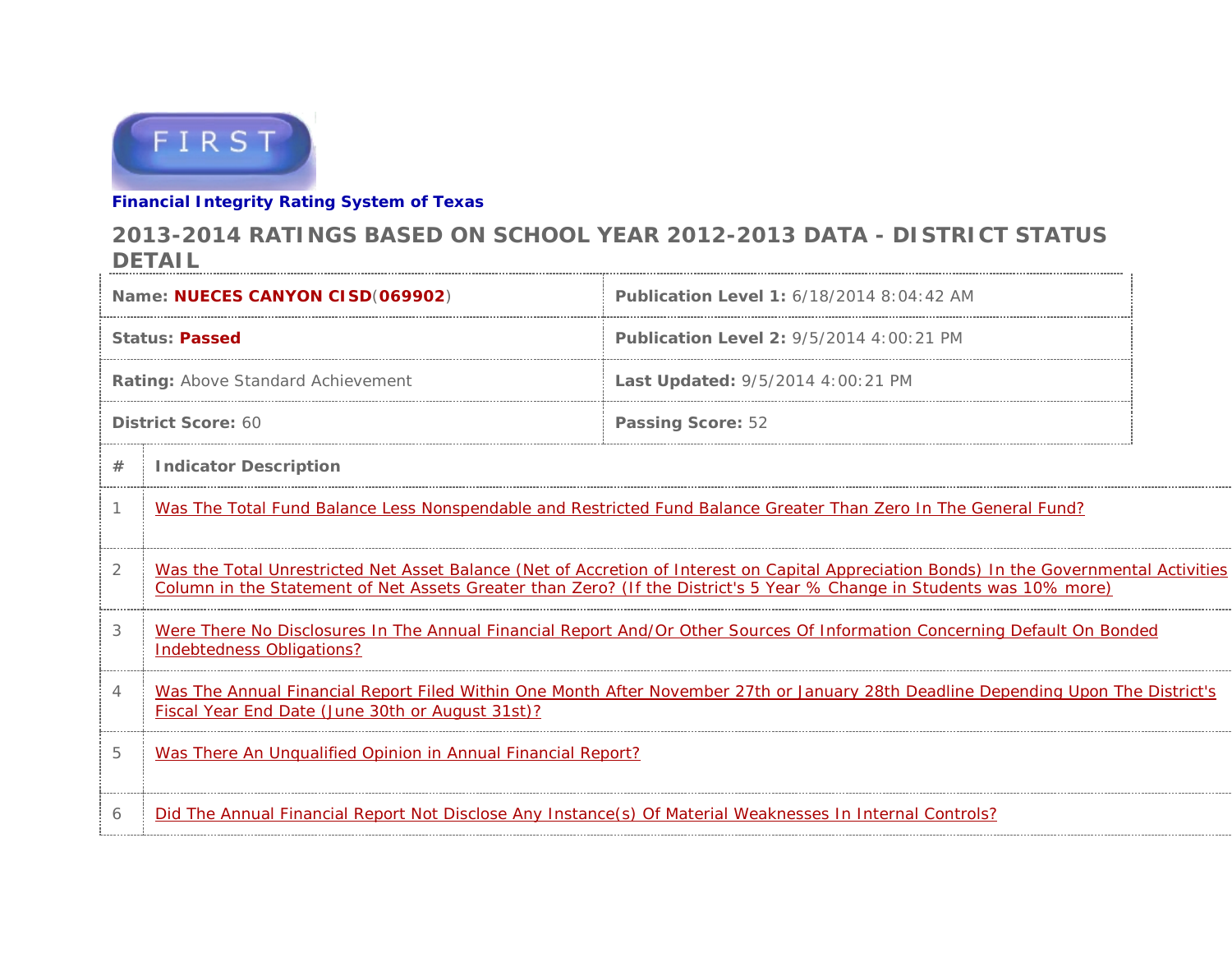

## **Financial Integrity Rating System of Texas**

## **2013-2014 RATINGS BASED ON SCHOOL YEAR 2012-2013 DATA - DISTRICT STATUS DETAIL**

| Name: NUECES CANYON CISD(069902)   |                                                                                                                                                                                                                                                                   | <b>Publication Level 1: 6/18/2014 8:04:42 AM</b> |  |  |  |  |  |  |
|------------------------------------|-------------------------------------------------------------------------------------------------------------------------------------------------------------------------------------------------------------------------------------------------------------------|--------------------------------------------------|--|--|--|--|--|--|
| <b>Status: Passed</b>              |                                                                                                                                                                                                                                                                   | <b>Publication Level 2: 9/5/2014 4:00:21 PM</b>  |  |  |  |  |  |  |
| Rating: Above Standard Achievement |                                                                                                                                                                                                                                                                   | Last Updated: 9/5/2014 4:00:21 PM                |  |  |  |  |  |  |
| District Score: 60                 |                                                                                                                                                                                                                                                                   | <b>Passing Score: 52</b>                         |  |  |  |  |  |  |
| #                                  | <b>Indicator Description</b>                                                                                                                                                                                                                                      |                                                  |  |  |  |  |  |  |
|                                    | Was The Total Fund Balance Less Nonspendable and Restricted Fund Balance Greater Than Zero In The General Fund?                                                                                                                                                   |                                                  |  |  |  |  |  |  |
| 2                                  | Was the Total Unrestricted Net Asset Balance (Net of Accretion of Interest on Capital Appreciation Bonds) In the Governmental Activities<br>Column in the Statement of Net Assets Greater than Zero? (If the District's 5 Year % Change in Students was 10% more) |                                                  |  |  |  |  |  |  |
| 3                                  | Were There No Disclosures In The Annual Financial Report And/Or Other Sources Of Information Concerning Default On Bonded<br>Indebtedness Obligations?                                                                                                            |                                                  |  |  |  |  |  |  |
| 4                                  | Was The Annual Financial Report Filed Within One Month After November 27th or January 28th Deadline Depending Upon The District's<br>Fiscal Year End Date (June 30th or August 31st)?                                                                             |                                                  |  |  |  |  |  |  |
| 5                                  | Was There An Unqualified Opinion in Annual Financial Report?                                                                                                                                                                                                      |                                                  |  |  |  |  |  |  |
| 6                                  | Did The Annual Financial Report Not Disclose Any Instance(s) Of Material Weaknesses In Internal Controls?                                                                                                                                                         |                                                  |  |  |  |  |  |  |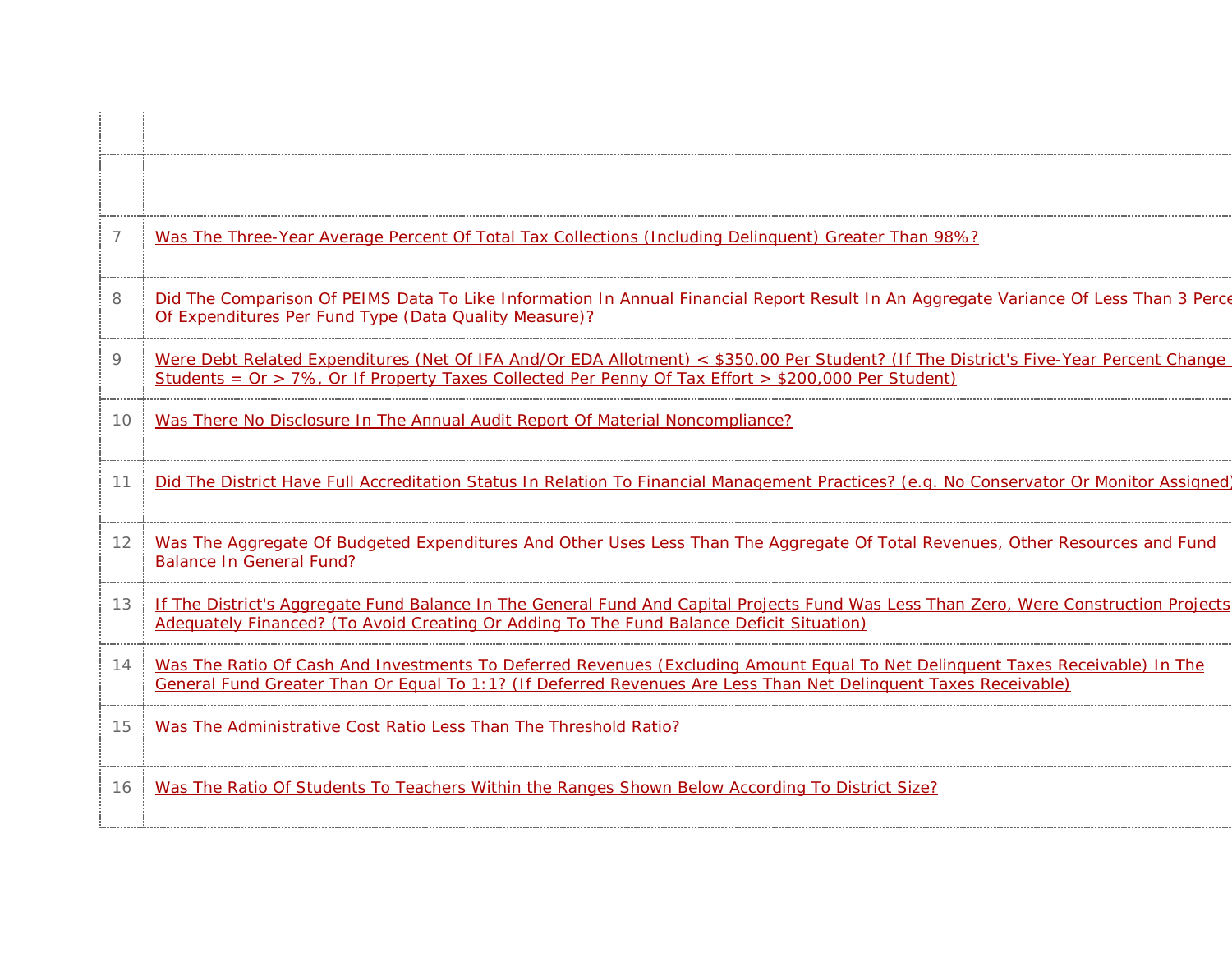| 7  | Was The Three-Year Average Percent Of Total Tax Collections (Including Delinguent) Greater Than 98%?                                                                                                                                             |
|----|--------------------------------------------------------------------------------------------------------------------------------------------------------------------------------------------------------------------------------------------------|
| 8  | Did The Comparison Of PEIMS Data To Like Information In Annual Financial Report Result In An Aggregate Variance Of Less Than 3 Perce<br>Of Expenditures Per Fund Type (Data Quality Measure)?                                                    |
| 9  | Were Debt Related Expenditures (Net Of IFA And/Or EDA Allotment) < \$350.00 Per Student? (If The District's Five-Year Percent Change<br>Students = $Or$ > 7%, Or If Property Taxes Collected Per Penny Of Tax Effort > \$200,000 Per Student)    |
| 10 | Was There No Disclosure In The Annual Audit Report Of Material Noncompliance?                                                                                                                                                                    |
| 11 | Did The District Have Full Accreditation Status In Relation To Financial Management Practices? (e.g. No Conservator Or Monitor Assigned)                                                                                                         |
| 12 | Was The Aggregate Of Budgeted Expenditures And Other Uses Less Than The Aggregate Of Total Revenues, Other Resources and Fund<br><b>Balance In General Fund?</b>                                                                                 |
| 13 | If The District's Aggregate Fund Balance In The General Fund And Capital Projects Fund Was Less Than Zero, Were Construction Projects<br>Adequately Financed? (To Avoid Creating Or Adding To The Fund Balance Deficit Situation)                |
| 14 | Was The Ratio Of Cash And Investments To Deferred Revenues (Excluding Amount Equal To Net Delinguent Taxes Receivable) In The<br>General Fund Greater Than Or Equal To 1:1? (If Deferred Revenues Are Less Than Net Delinguent Taxes Receivable) |
| 15 | Was The Administrative Cost Ratio Less Than The Threshold Ratio?                                                                                                                                                                                 |
| 16 | Was The Ratio Of Students To Teachers Within the Ranges Shown Below According To District Size?                                                                                                                                                  |
|    |                                                                                                                                                                                                                                                  |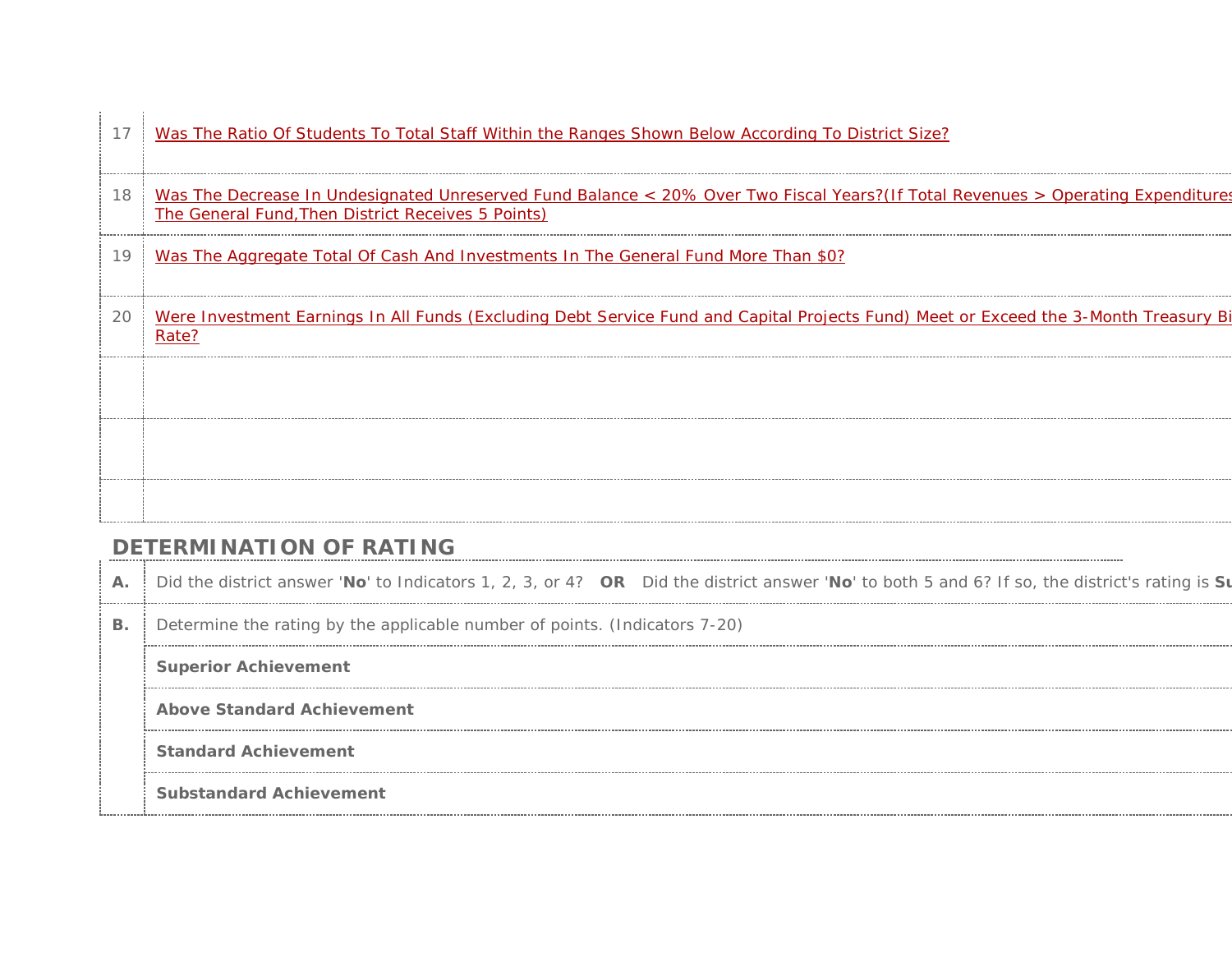| 17 | Was The Ratio Of Students To Total Staff Within the Ranges Shown Below According To District Size?                                                                                     |
|----|----------------------------------------------------------------------------------------------------------------------------------------------------------------------------------------|
| 18 | Was The Decrease In Undesignated Unreserved Fund Balance < 20% Over Two Fiscal Years?(If Total Revenues > Operating Expenditures<br>The General Fund, Then District Receives 5 Points) |
| 19 | Was The Aggregate Total Of Cash And Investments In The General Fund More Than \$0?                                                                                                     |
| 20 | Were Investment Earnings In All Funds (Excluding Debt Service Fund and Capital Projects Fund) Meet or Exceed the 3-Month Treasury Bi<br>Rate?                                          |
|    |                                                                                                                                                                                        |
|    |                                                                                                                                                                                        |
|    |                                                                                                                                                                                        |

## **DETERMINATION OF RATING**

**A.** Did the district answer '**No**' to Indicators 1, 2, 3, or 4? **OR** Did the district answer '**No**' to both 5 and 6? If so, the district's rating is **Su**

**B.** Determine the rating by the applicable number of points. (Indicators 7-20)

**Superior Achievement**

**Above Standard Achievement**

**Standard Achievement**

**Substandard Achievement**